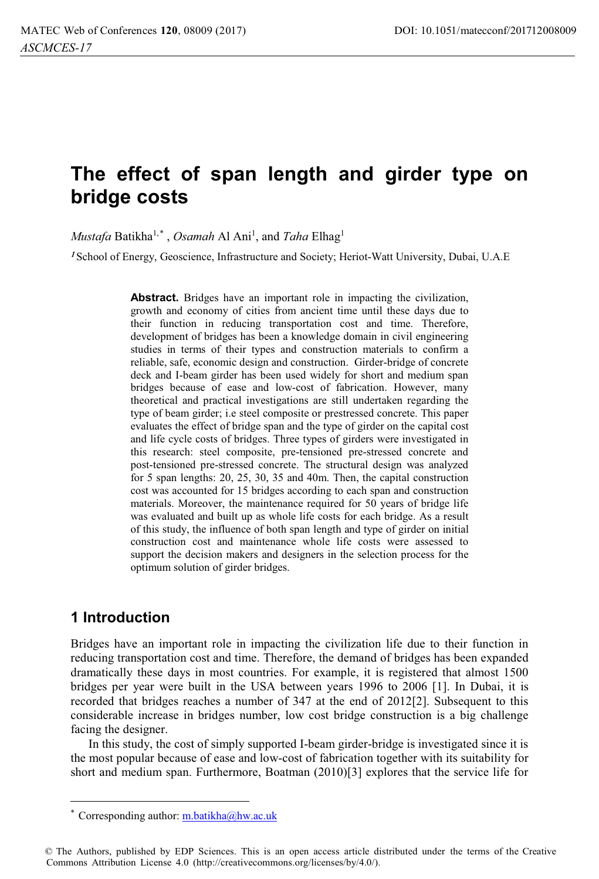# **The effect of span length and girder type on bridge costs**

*Mustafa* Batikha<sup>1,\*</sup>, *Osamah* Al Ani<sup>1</sup>, and *Taha* Elhag<sup>1</sup>

<sup>1</sup> School of Energy, Geoscience, Infrastructure and Society; Heriot-Watt University, Dubai, U.A.E

**Abstract.** Bridges have an important role in impacting the civilization, growth and economy of cities from ancient time until these days due to their function in reducing transportation cost and time. Therefore, development of bridges has been a knowledge domain in civil engineering studies in terms of their types and construction materials to confirm a reliable, safe, economic design and construction. Girder-bridge of concrete deck and I-beam girder has been used widely for short and medium span bridges because of ease and low-cost of fabrication. However, many theoretical and practical investigations are still undertaken regarding the type of beam girder; i.e steel composite or prestressed concrete. This paper evaluates the effect of bridge span and the type of girder on the capital cost and life cycle costs of bridges. Three types of girders were investigated in this research: steel composite, pre-tensioned pre-stressed concrete and post-tensioned pre-stressed concrete. The structural design was analyzed for 5 span lengths: 20, 25, 30, 35 and 40m. Then, the capital construction cost was accounted for 15 bridges according to each span and construction materials. Moreover, the maintenance required for 50 years of bridge life was evaluated and built up as whole life costs for each bridge. As a result of this study, the influence of both span length and type of girder on initial construction cost and maintenance whole life costs were assessed to support the decision makers and designers in the selection process for the optimum solution of girder bridges.

### **1 Introduction**

Bridges have an important role in impacting the civilization life due to their function in reducing transportation cost and time. Therefore, the demand of bridges has been expanded dramatically these days in most countries. For example, it is registered that almost 1500 bridges per year were built in the USA between years 1996 to 2006 [1]. In Dubai, it is recorded that bridges reaches a number of 347 at the end of 2012[2]. Subsequent to this considerable increase in bridges number, low cost bridge construction is a big challenge facing the designer.

In this study, the cost of simply supported I-beam girder-bridge is investigated since it is the most popular because of ease and low-cost of fabrication together with its suitability for short and medium span. Furthermore, Boatman (2010)[3] explores that the service life for

<sup>\*</sup> Corresponding author:  $m.batikha@hw.ac.uk$ 

<sup>©</sup> The Authors, published by EDP Sciences. This is an open access article distributed under the terms of the Creative Commons Attribution License 4.0 (http://creativecommons.org/licenses/by/4.0/).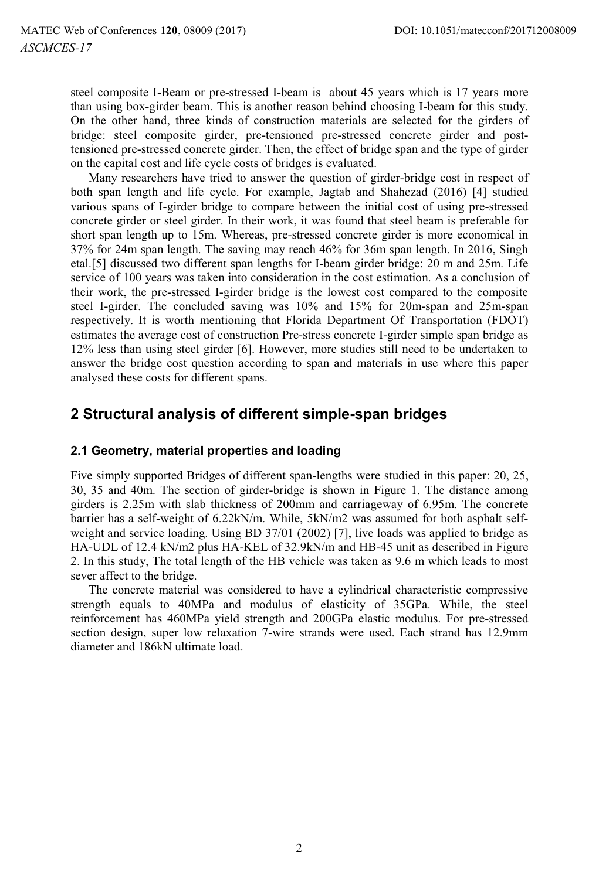steel composite I-Beam or pre-stressed I-beam is about 45 years which is 17 years more than using box-girder beam. This is another reason behind choosing I-beam for this study. On the other hand, three kinds of construction materials are selected for the girders of bridge: steel composite girder, pre-tensioned pre-stressed concrete girder and posttensioned pre-stressed concrete girder. Then, the effect of bridge span and the type of girder on the capital cost and life cycle costs of bridges is evaluated.

Many researchers have tried to answer the question of girder-bridge cost in respect of both span length and life cycle. For example, Jagtab and Shahezad (2016) [4] studied various spans of I-girder bridge to compare between the initial cost of using pre-stressed concrete girder or steel girder. In their work, it was found that steel beam is preferable for short span length up to 15m. Whereas, pre-stressed concrete girder is more economical in 37% for 24m span length. The saving may reach 46% for 36m span length. In 2016, Singh etal.[5] discussed two different span lengths for I-beam girder bridge: 20 m and 25m. Life service of 100 years was taken into consideration in the cost estimation. As a conclusion of their work, the pre-stressed I-girder bridge is the lowest cost compared to the composite steel I-girder. The concluded saving was 10% and 15% for 20m-span and 25m-span respectively. It is worth mentioning that Florida Department Of Transportation (FDOT) estimates the average cost of construction Pre-stress concrete I-girder simple span bridge as 12% less than using steel girder [6]. However, more studies still need to be undertaken to answer the bridge cost question according to span and materials in use where this paper analysed these costs for different spans.

## **2 Structural analysis of different simple-span bridges**

#### **2.1 Geometry, material properties and loading**

Five simply supported Bridges of different span-lengths were studied in this paper: 20, 25, 30, 35 and 40m. The section of girder-bridge is shown in Figure 1. The distance among girders is 2.25m with slab thickness of 200mm and carriageway of 6.95m. The concrete barrier has a self-weight of 6.22kN/m. While, 5kN/m2 was assumed for both asphalt selfweight and service loading. Using BD 37/01 (2002) [7], live loads was applied to bridge as HA-UDL of 12.4 kN/m2 plus HA-KEL of 32.9kN/m and HB-45 unit as described in Figure 2. In this study, The total length of the HB vehicle was taken as 9.6 m which leads to most sever affect to the bridge.

The concrete material was considered to have a cylindrical characteristic compressive strength equals to 40MPa and modulus of elasticity of 35GPa. While, the steel reinforcement has 460MPa yield strength and 200GPa elastic modulus. For pre-stressed section design, super low relaxation 7-wire strands were used. Each strand has 12.9mm diameter and 186kN ultimate load.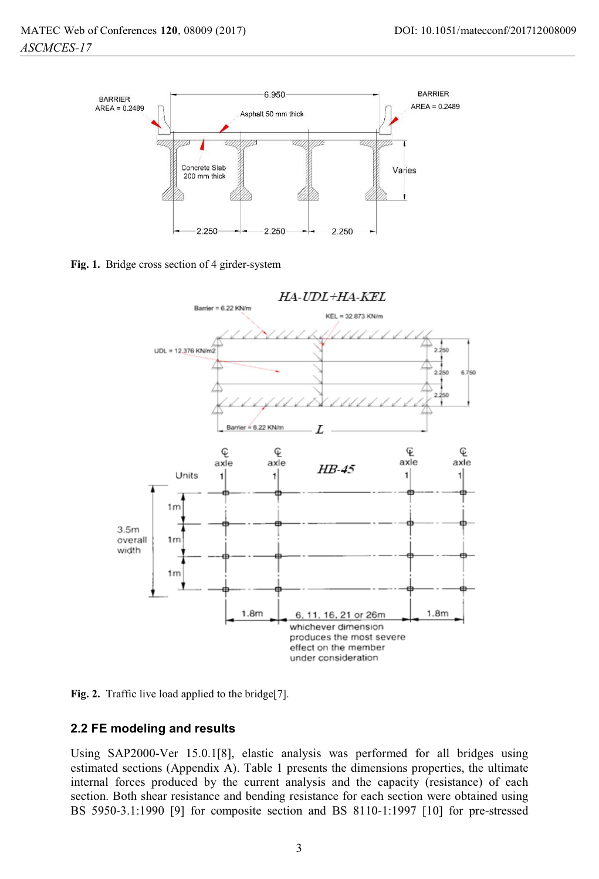



**Fig. 1.** Bridge cross section of 4 girder-system



Fig. 2. Traffic live load applied to the bridge[7].

#### **2.2 FE modeling and results**

Using SAP2000-Ver 15.0.1[8], elastic analysis was performed for all bridges using estimated sections (Appendix A). Table 1 presents the dimensions properties, the ultimate internal forces produced by the current analysis and the capacity (resistance) of each section. Both shear resistance and bending resistance for each section were obtained using BS 5950-3.1:1990 [9] for composite section and BS 8110-1:1997 [10] for pre-stressed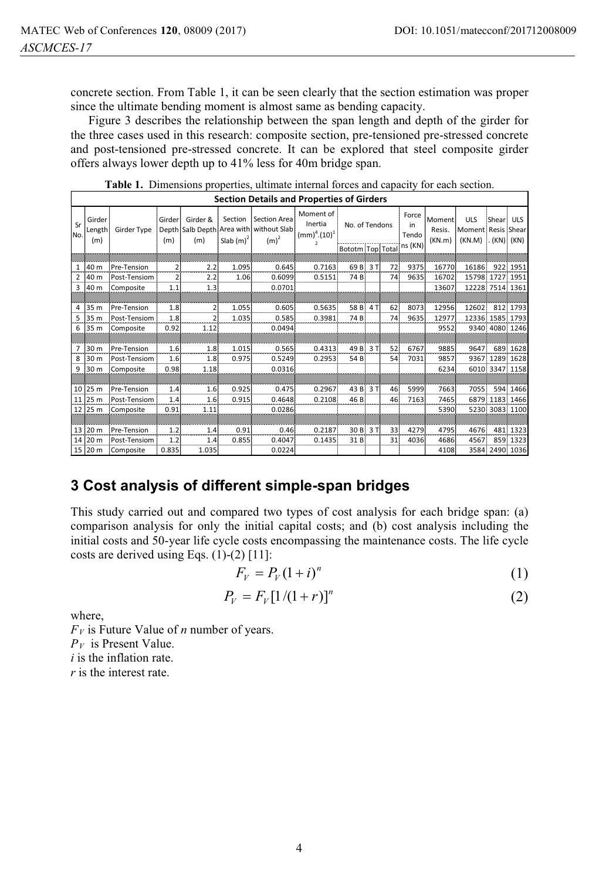concrete section. From Table 1, it can be seen clearly that the section estimation was proper since the ultimate bending moment is almost same as bending capacity.

Figure 3 describes the relationship between the span length and depth of the girder for the three cases used in this research: composite section, pre-tensioned pre-stressed concrete and post-tensioned pre-stressed concrete. It can be explored that steel composite girder offers always lower depth up to 41% less for 40m bridge span.

| <b>Section Details and Properties of Girders</b> |                         |              |                |                 |                         |                                                                    |                                                                                |                  |     |    |                      |                            |                                            |               |                    |
|--------------------------------------------------|-------------------------|--------------|----------------|-----------------|-------------------------|--------------------------------------------------------------------|--------------------------------------------------------------------------------|------------------|-----|----|----------------------|----------------------------|--------------------------------------------|---------------|--------------------|
| Sr<br>No.                                        | Girder<br>Length<br>(m) | Girder Type  | Girder<br>(m)  | Girder &<br>(m) | Section<br>Slab $(m)^2$ | Section Area<br>Depth Salb Depth Area with without Slab<br>$(m)^2$ | Moment of<br>Inertia<br>(mm) <sup>4</sup> .(10) <sup>1</sup><br>$\overline{2}$ | No. of Tendons   |     |    | Force<br>in<br>Tendo | Moment<br>Resis.<br>(KN,m) | <b>ULS</b><br>Moment Resis Shear<br>(KN.M) | Shear<br>(KN) | <b>ULS</b><br>(KN) |
|                                                  |                         |              |                |                 |                         |                                                                    |                                                                                | Bototm Top Total |     |    | ns (KN)              |                            |                                            |               |                    |
|                                                  |                         |              |                |                 |                         |                                                                    |                                                                                |                  |     |    |                      |                            |                                            |               |                    |
| 1                                                | 40 m                    | Pre-Tension  | $\overline{2}$ | 2.2             | 1.095                   | 0.645                                                              | 0.7163                                                                         | 69 <sub>B</sub>  | 3T  | 72 | 9375                 | 16770                      | 16186                                      | 922           | 1951               |
| $\overline{2}$                                   | 40 m                    | Post-Tensiom | $\overline{2}$ | 2.2             | 1.06                    | 0.6099                                                             | 0.5151                                                                         | 74 B             |     | 74 | 9635                 | 16702                      | 15798                                      | 1727          | 1951               |
| 3                                                | 40 m                    | Composite    | 1.1            | 1.3             |                         | 0.0701                                                             |                                                                                |                  |     |    |                      | 13607                      | 12228                                      | 7514          | 1361               |
|                                                  |                         |              |                |                 |                         |                                                                    |                                                                                |                  |     |    |                      |                            |                                            |               |                    |
| 4                                                | 35 m                    | Pre-Tension  | 1.8            | $\overline{2}$  | 1.055                   | 0.605                                                              | 0.5635                                                                         | 58 B             | 4 T | 62 | 8073                 | 12956                      | 12602                                      | 812           | 1793               |
| 5                                                | 35 m                    | Post-Tensiom | 1.8            | $\overline{2}$  | 1.035                   | 0.585                                                              | 0.3981                                                                         | 74B              |     | 74 | 9635                 | 12977                      | 12336                                      | 1585          | 1793               |
| 6                                                | 35 m                    | Composite    | 0.92           | 1.12            |                         | 0.0494                                                             |                                                                                |                  |     |    |                      | 9552                       | 9340                                       |               | 4080 1246          |
|                                                  |                         |              |                |                 |                         |                                                                    |                                                                                |                  |     |    |                      |                            |                                            |               |                    |
| 7                                                | 30 m                    | Pre-Tension  | 1.6            | 1.8             | 1.015                   | 0.565                                                              | 0.4313                                                                         | 49B              | 3T  | 52 | 6767                 | 9885                       | 9647                                       | 689           | 1628               |
| 8                                                | 30 m                    | Post-Tensiom | 1.6            | 1.8             | 0.975                   | 0.5249                                                             | 0.2953                                                                         | 54B              |     | 54 | 7031                 | 9857                       | 9367                                       | 1289          | 1628               |
| 9                                                | 30 m                    | Composite    | 0.98           | 1.18            |                         | 0.0316                                                             |                                                                                |                  |     |    |                      | 6234                       | 6010                                       | 3347          | 1158               |
|                                                  |                         |              |                |                 |                         |                                                                    |                                                                                |                  |     |    |                      |                            |                                            |               |                    |
|                                                  | 10 25 m                 | Pre-Tension  | 1.4            | 1.6             | 0.925                   | 0.475                                                              | 0.2967                                                                         | 43B              | 3T  | 46 | 5999                 | 7663                       | 7055                                       | 594           | 1466               |
| 11                                               | 25 m                    | Post-Tensiom | 1.4            | 1.6             | 0.915                   | 0.4648                                                             | 0.2108                                                                         | 46 B             |     | 46 | 7163                 | 7465                       | 6879                                       | 1183          | 1466               |
|                                                  | 12 25 m                 | Composite    | 0.91           | 1.11            |                         | 0.0286                                                             |                                                                                |                  |     |    |                      | 5390                       | 5230                                       | 3083          | 1100               |
|                                                  |                         |              |                |                 |                         |                                                                    |                                                                                |                  |     |    |                      |                            |                                            |               |                    |
| 13                                               | 20 m                    | Pre-Tension  | 1.2            | 1.4             | 0.91                    | 0.46                                                               | 0.2187                                                                         | 30 B             | 3T  | 33 | 4279                 | 4795                       | 4676                                       | 481           | 1323               |
| 14                                               | 20 m                    | Post-Tensiom | 1.2            | 1.4             | 0.855                   | 0.4047                                                             | 0.1435                                                                         | 31 B             |     | 31 | 4036                 | 4686                       | 4567                                       | 859           | 1323               |
| 15                                               | 120 <sub>m</sub>        | Composite    | 0.835          | 1.035           |                         | 0.0224                                                             |                                                                                |                  |     |    |                      | 4108                       | 3584                                       | 2490          | 1036               |

**Table 1.** Dimensions properties, ultimate internal forces and capacity for each section.

# **3 Cost analysis of different simple-span bridges**

This study carried out and compared two types of cost analysis for each bridge span: (a) comparison analysis for only the initial capital costs; and (b) cost analysis including the initial costs and 50-year life cycle costs encompassing the maintenance costs. The life cycle costs are derived using Eqs. (1)-(2) [11]:

$$
F_V = P_V (1 + i)^n \tag{1}
$$

$$
P_{V} = F_{V} [1/(1+r)]^{n}
$$
 (2)

where,

 $F_V$  is Future Value of *n* number of years.  $P_V$  is Present Value. *i* is the inflation rate. *r* is the interest rate.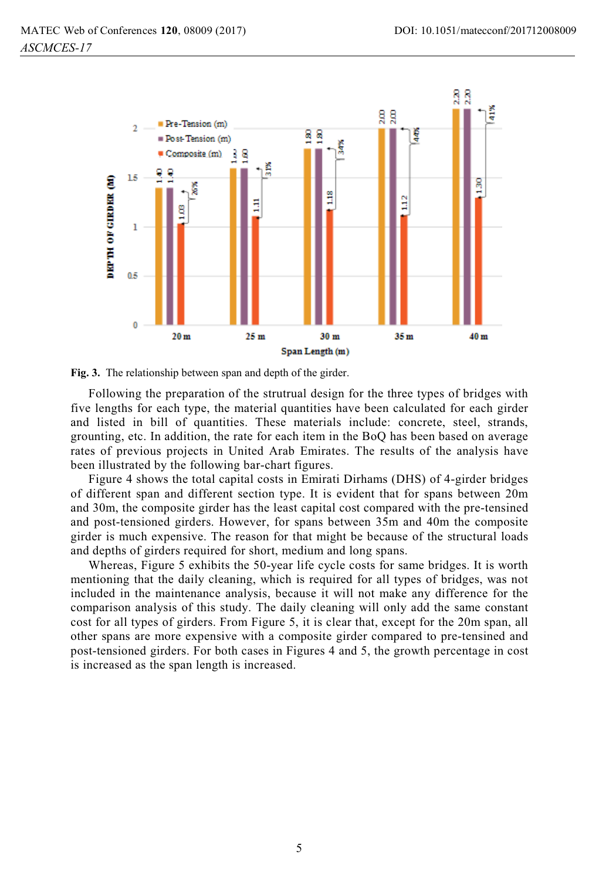

**Fig. 3.** The relationship between span and depth of the girder.

Following the preparation of the strutrual design for the three types of bridges with five lengths for each type, the material quantities have been calculated for each girder and listed in bill of quantities. These materials include: concrete, steel, strands, grounting, etc. In addition, the rate for each item in the BoQ has been based on average rates of previous projects in United Arab Emirates. The results of the analysis have been illustrated by the following bar-chart figures.

Figure 4 shows the total capital costs in Emirati Dirhams (DHS) of 4-girder bridges of different span and different section type. It is evident that for spans between 20m and 30m, the composite girder has the least capital cost compared with the pre-tensined and post-tensioned girders. However, for spans between 35m and 40m the composite girder is much expensive. The reason for that might be because of the structural loads and depths of girders required for short, medium and long spans.

Whereas, Figure 5 exhibits the 50-year life cycle costs for same bridges. It is worth mentioning that the daily cleaning, which is required for all types of bridges, was not included in the maintenance analysis, because it will not make any difference for the comparison analysis of this study. The daily cleaning will only add the same constant cost for all types of girders. From Figure 5, it is clear that, except for the 20m span, all other spans are more expensive with a composite girder compared to pre-tensined and post-tensioned girders. For both cases in Figures 4 and 5, the growth percentage in cost is increased as the span length is increased.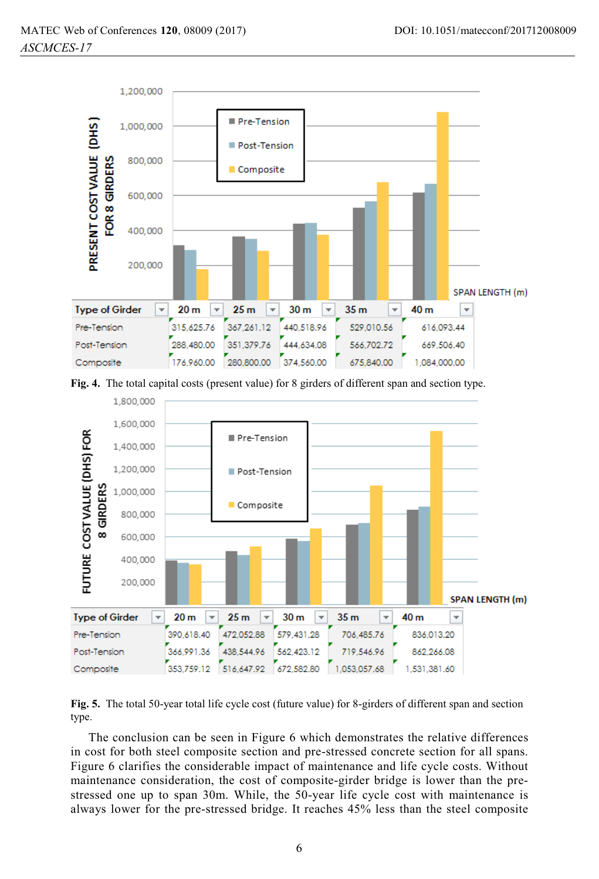

**Fig. 4.** The total capital costs (present value) for 8 girders of different span and section type.



**Fig. 5.** The total 50-year total life cycle cost (future value) for 8-girders of different span and section type.

The conclusion can be seen in Figure 6 which demonstrates the relative differences in cost for both steel composite section and pre-stressed concrete section for all spans. Figure 6 clarifies the considerable impact of maintenance and life cycle costs. Without maintenance consideration, the cost of composite-girder bridge is lower than the prestressed one up to span 30m. While, the 50-year life cycle cost with maintenance is always lower for the pre-stressed bridge. It reaches 45% less than the steel composite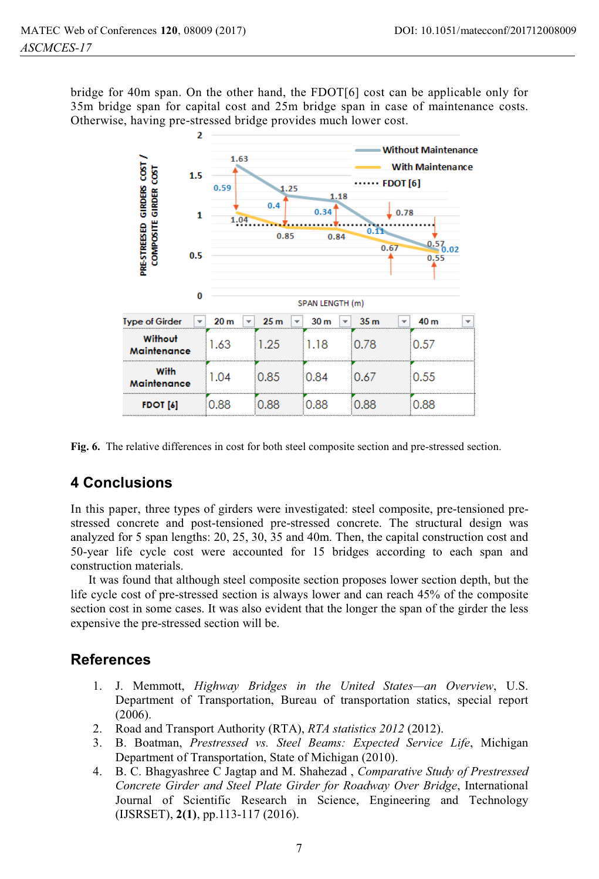bridge for 40m span. On the other hand, the FDOT[6] cost can be applicable only for 35m bridge span for capital cost and 25m bridge span in case of maintenance costs. Otherwise, having pre-stressed bridge provides much lower cost.



**Fig. 6.** The relative differences in cost for both steel composite section and pre-stressed section.

# **4 Conclusions**

In this paper, three types of girders were investigated: steel composite, pre-tensioned prestressed concrete and post-tensioned pre-stressed concrete. The structural design was analyzed for 5 span lengths: 20, 25, 30, 35 and 40m. Then, the capital construction cost and 50-year life cycle cost were accounted for 15 bridges according to each span and construction materials.

It was found that although steel composite section proposes lower section depth, but the life cycle cost of pre-stressed section is always lower and can reach 45% of the composite section cost in some cases. It was also evident that the longer the span of the girder the less expensive the pre-stressed section will be.

### **References**

- 1. J. Memmott, *Highway Bridges in the United States—an Overview*, U.S. Department of Transportation, Bureau of transportation statics, special report (2006).
- 2. Road and Transport Authority (RTA), *RTA statistics 2012* (2012).
- 3. B. Boatman, *Prestressed vs. Steel Beams: Expected Service Life*, Michigan Department of Transportation, State of Michigan (2010).
- 4. B. C. Bhagyashree C Jagtap and M. Shahezad , *Comparative Study of Prestressed Concrete Girder and Steel Plate Girder for Roadway Over Bridge*, International Journal of Scientific Research in Science, Engineering and Technology (IJSRSET), **2(1)**, pp.113-117 (2016).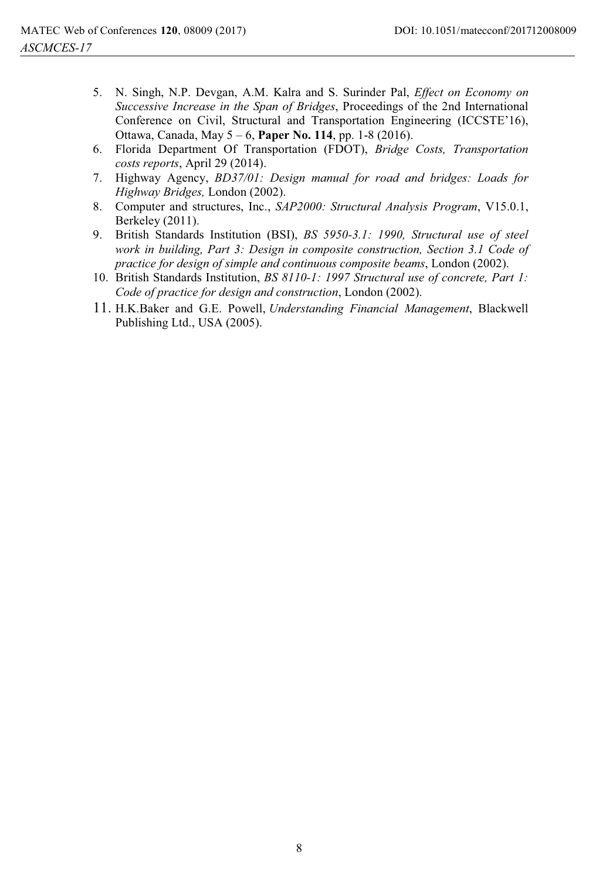- 5. N. Singh, N.P. Devgan, A.M. Kalra and S. Surinder Pal, *Effect on Economy on Successive Increase in the Span of Bridges*, Proceedings of the 2nd International Conference on Civil, Structural and Transportation Engineering (ICCSTE'16), Ottawa, Canada, May 5 – 6, **Paper No. 114**, pp. 1-8 (2016).
- 6. Florida Department Of Transportation (FDOT), *Bridge Costs, Transportation costs reports*, April 29 (2014).
- 7. Highway Agency, *BD37/01: Design manual for road and bridges: Loads for Highway Bridges,* London (2002).
- 8. Computer and structures, Inc., *SAP2000: Structural Analysis Program*, V15.0.1, Berkeley (2011).
- 9. British Standards Institution (BSI), *BS 5950-3.1: 1990, Structural use of steel work in building, Part 3: Design in composite construction, Section 3.1 Code of practice for design of simple and continuous composite beams*, London (2002).
- 10. British Standards Institution, *BS 8110-1: 1997 Structural use of concrete, Part 1: Code of practice for design and construction*, London (2002).
- 11. H.K.Baker and G.E. Powell, *Understanding Financial Management*, Blackwell Publishing Ltd., USA (2005).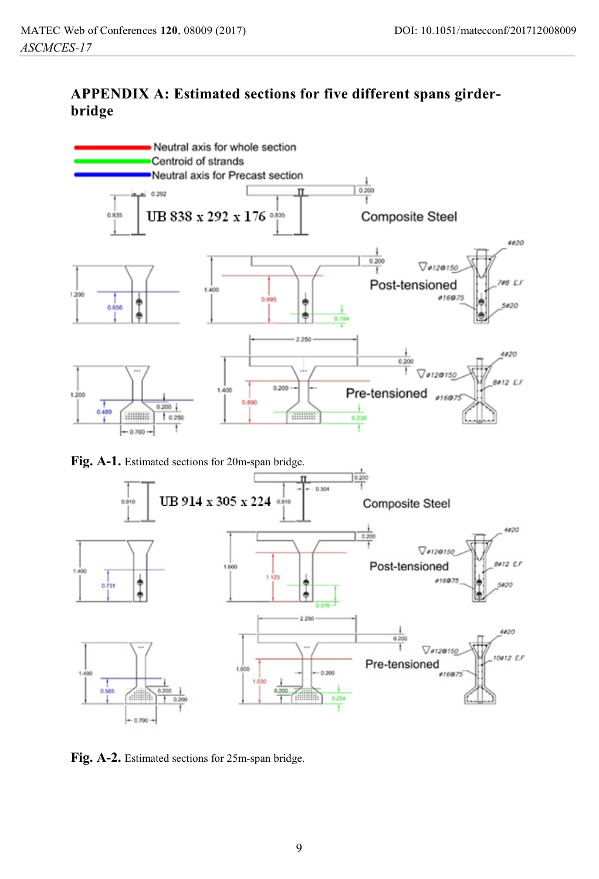# **APPENDIX A: Estimated sections for five different spans girderbridge**



**Fig. A-1.** Estimated sections for 20m-span bridge.



**Fig. A-2.** Estimated sections for 25m-span bridge.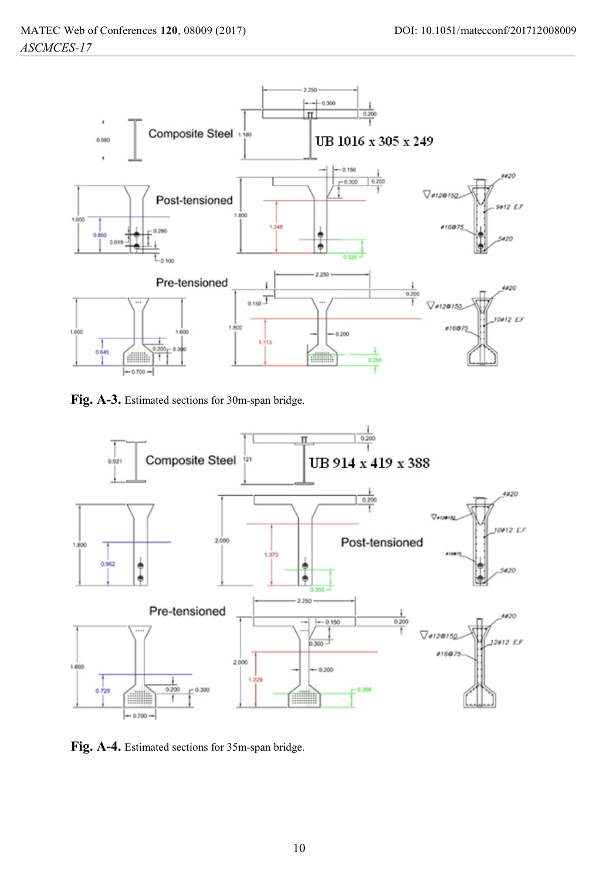

**Fig. A-3.** Estimated sections for 30m-span bridge.



**Fig. A-4.** Estimated sections for 35m-span bridge.